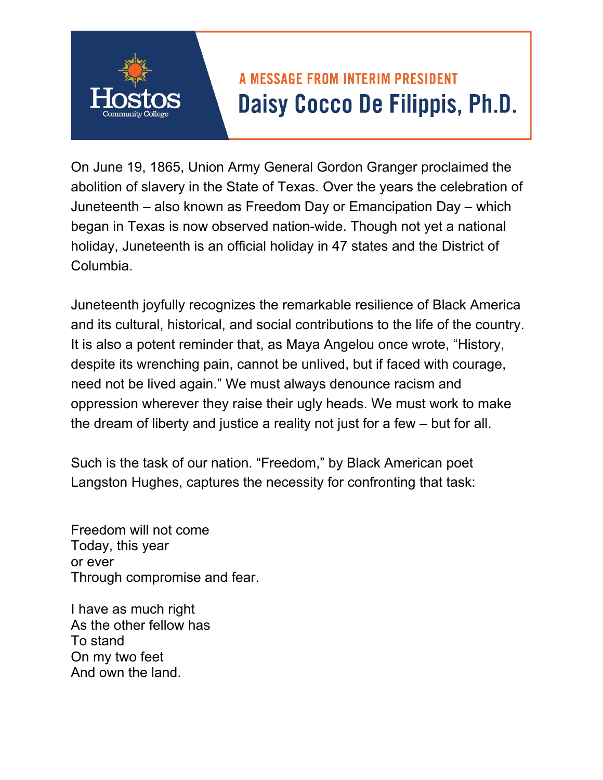## **A MESSAGE FROM INTERIM PRESIDENT** Daisy Cocco De Filippis, Ph.D.

On June 19, 1865, Union Army General Gordon Granger proclaimed the abolition of slavery in the State of Texas. Over the years the celebration of Juneteenth – also known as Freedom Day or Emancipation Day – which began in Texas is now observed nation-wide. Though not yet a national holiday, Juneteenth is an official holiday in 47 states and the District of Columbia.

Juneteenth joyfully recognizes the remarkable resilience of Black America and its cultural, historical, and social contributions to the life of the country. It is also a potent reminder that, as Maya Angelou once wrote, "History, despite its wrenching pain, cannot be unlived, but if faced with courage, need not be lived again." We must always denounce racism and oppression wherever they raise their ugly heads. We must work to make the dream of liberty and justice a reality not just for a few – but for all.

Such is the task of our nation. "Freedom," by Black American poet Langston Hughes, captures the necessity for confronting that task:

Freedom will not come Today, this year or ever Through compromise and fear.

I have as much right As the other fellow has To stand On my two feet And own the land.